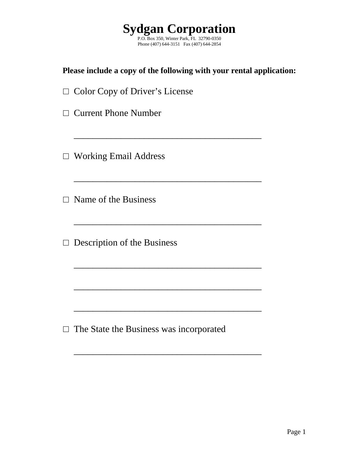

### **Please include a copy of the following with your rental application:**

\_\_\_\_\_\_\_\_\_\_\_\_\_\_\_\_\_\_\_\_\_\_\_\_\_\_\_\_\_\_\_\_\_\_\_\_\_\_\_\_

\_\_\_\_\_\_\_\_\_\_\_\_\_\_\_\_\_\_\_\_\_\_\_\_\_\_\_\_\_\_\_\_\_\_\_\_\_\_\_\_

 $\mathcal{L}_\text{max}$  , and the set of the set of the set of the set of the set of the set of the set of the set of the set of the set of the set of the set of the set of the set of the set of the set of the set of the set of the

\_\_\_\_\_\_\_\_\_\_\_\_\_\_\_\_\_\_\_\_\_\_\_\_\_\_\_\_\_\_\_\_\_\_\_\_\_\_\_\_

\_\_\_\_\_\_\_\_\_\_\_\_\_\_\_\_\_\_\_\_\_\_\_\_\_\_\_\_\_\_\_\_\_\_\_\_\_\_\_\_

\_\_\_\_\_\_\_\_\_\_\_\_\_\_\_\_\_\_\_\_\_\_\_\_\_\_\_\_\_\_\_\_\_\_\_\_\_\_\_\_

\_\_\_\_\_\_\_\_\_\_\_\_\_\_\_\_\_\_\_\_\_\_\_\_\_\_\_\_\_\_\_\_\_\_\_\_\_\_\_\_

| $\Box$ Color Copy of Driver's License |  |
|---------------------------------------|--|
|---------------------------------------|--|

□ Current Phone Number

□ Working Email Address

 $\square$  Name of the Business

□ Description of the Business

□ The State the Business was incorporated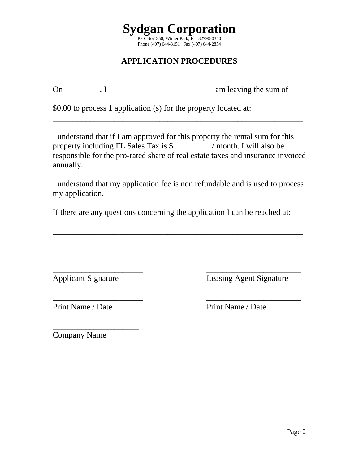

# **APPLICATION PROCEDURES**

 $On \_\_\_\_$ ,  $I \_\_\_\_\_\_\_$ 

\$0.00 to process 1 application (s) for the property located at:

I understand that if I am approved for this property the rental sum for this property including FL Sales Tax is  $\frac{1}{2}$  / month. I will also be responsible for the pro-rated share of real estate taxes and insurance invoiced annually.

\_\_\_\_\_\_\_\_\_\_\_\_\_\_\_\_\_\_\_\_\_\_\_\_\_\_\_\_\_\_\_\_\_\_\_\_\_\_\_\_\_\_\_\_\_\_\_\_\_\_\_\_\_\_\_\_\_\_\_\_\_

I understand that my application fee is non refundable and is used to process my application.

\_\_\_\_\_\_\_\_\_\_\_\_\_\_\_\_\_\_\_\_\_\_\_\_\_\_\_\_\_\_\_\_\_\_\_\_\_\_\_\_\_\_\_\_\_\_\_\_\_\_\_\_\_\_\_\_\_\_\_\_\_

\_\_\_\_\_\_\_\_\_\_\_\_\_\_\_\_\_\_\_\_\_\_ \_\_\_\_\_\_\_\_\_\_\_\_\_\_\_\_\_\_\_\_\_\_\_

If there are any questions concerning the application I can be reached at:

\_\_\_\_\_\_\_\_\_\_\_\_\_\_\_\_\_\_\_\_\_\_ \_\_\_\_\_\_\_\_\_\_\_\_\_\_\_\_\_\_\_\_\_\_\_

Applicant Signature Leasing Agent Signature

Print Name / Date Print Name / Date

\_\_\_\_\_\_\_\_\_\_\_\_\_\_\_\_\_\_\_\_\_ Company Name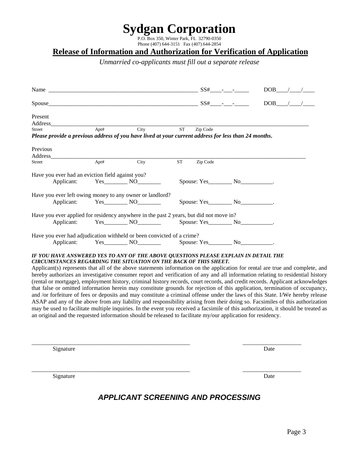# **Sydgan Corporation**

P.O. Box 350, Winter Park, FL 32790-0350 Phone (407) 644-3151 Fax (407) 644-2854

#### **Release of Information and Authorization for Verification of Application**

*Unmarried co-applicants must fill out a separate release*

| Name $SS#$ -                                                                                                                                                                                                                                                                                                                                                                                                                                                                                                                                                                                                                                                                                                                                                                                                                                                                                                                                                                                                                                                                                                                                                                                                                |      |                                      |            |                       | $DOB$ / / |  |
|-----------------------------------------------------------------------------------------------------------------------------------------------------------------------------------------------------------------------------------------------------------------------------------------------------------------------------------------------------------------------------------------------------------------------------------------------------------------------------------------------------------------------------------------------------------------------------------------------------------------------------------------------------------------------------------------------------------------------------------------------------------------------------------------------------------------------------------------------------------------------------------------------------------------------------------------------------------------------------------------------------------------------------------------------------------------------------------------------------------------------------------------------------------------------------------------------------------------------------|------|--------------------------------------|------------|-----------------------|-----------|--|
|                                                                                                                                                                                                                                                                                                                                                                                                                                                                                                                                                                                                                                                                                                                                                                                                                                                                                                                                                                                                                                                                                                                                                                                                                             |      |                                      |            |                       | $DOB$ / / |  |
| Present                                                                                                                                                                                                                                                                                                                                                                                                                                                                                                                                                                                                                                                                                                                                                                                                                                                                                                                                                                                                                                                                                                                                                                                                                     |      |                                      |            |                       |           |  |
| Address                                                                                                                                                                                                                                                                                                                                                                                                                                                                                                                                                                                                                                                                                                                                                                                                                                                                                                                                                                                                                                                                                                                                                                                                                     |      |                                      |            |                       |           |  |
| <b>Street</b><br>Please provide a previous address of you have lived at your current address for less than 24 months.                                                                                                                                                                                                                                                                                                                                                                                                                                                                                                                                                                                                                                                                                                                                                                                                                                                                                                                                                                                                                                                                                                       | Apt# | City                                 | ${\rm ST}$ | Zip Code              |           |  |
| Previous                                                                                                                                                                                                                                                                                                                                                                                                                                                                                                                                                                                                                                                                                                                                                                                                                                                                                                                                                                                                                                                                                                                                                                                                                    |      |                                      |            |                       |           |  |
| Address                                                                                                                                                                                                                                                                                                                                                                                                                                                                                                                                                                                                                                                                                                                                                                                                                                                                                                                                                                                                                                                                                                                                                                                                                     |      |                                      |            |                       |           |  |
| Street                                                                                                                                                                                                                                                                                                                                                                                                                                                                                                                                                                                                                                                                                                                                                                                                                                                                                                                                                                                                                                                                                                                                                                                                                      | Apt# | City                                 | <b>ST</b>  | Zip Code              |           |  |
| Have you ever had an eviction field against you?                                                                                                                                                                                                                                                                                                                                                                                                                                                                                                                                                                                                                                                                                                                                                                                                                                                                                                                                                                                                                                                                                                                                                                            |      |                                      |            |                       |           |  |
| Applicant:                                                                                                                                                                                                                                                                                                                                                                                                                                                                                                                                                                                                                                                                                                                                                                                                                                                                                                                                                                                                                                                                                                                                                                                                                  |      | $Yes$ NO $\qquad \qquad$ NO          |            |                       |           |  |
| Have you ever left owing money to any owner or landlord?                                                                                                                                                                                                                                                                                                                                                                                                                                                                                                                                                                                                                                                                                                                                                                                                                                                                                                                                                                                                                                                                                                                                                                    |      |                                      |            |                       |           |  |
| Applicant:                                                                                                                                                                                                                                                                                                                                                                                                                                                                                                                                                                                                                                                                                                                                                                                                                                                                                                                                                                                                                                                                                                                                                                                                                  |      | $Yes$ NO $\qquad$                    |            |                       |           |  |
| Have you ever applied for residency anywhere in the past 2 years, but did not move in?                                                                                                                                                                                                                                                                                                                                                                                                                                                                                                                                                                                                                                                                                                                                                                                                                                                                                                                                                                                                                                                                                                                                      |      |                                      |            |                       |           |  |
|                                                                                                                                                                                                                                                                                                                                                                                                                                                                                                                                                                                                                                                                                                                                                                                                                                                                                                                                                                                                                                                                                                                                                                                                                             |      | Applicant: Yes NO Spouse: Yes No No. |            |                       |           |  |
| Have you ever had adjudication withheld or been convicted of a crime?                                                                                                                                                                                                                                                                                                                                                                                                                                                                                                                                                                                                                                                                                                                                                                                                                                                                                                                                                                                                                                                                                                                                                       |      |                                      |            |                       |           |  |
|                                                                                                                                                                                                                                                                                                                                                                                                                                                                                                                                                                                                                                                                                                                                                                                                                                                                                                                                                                                                                                                                                                                                                                                                                             |      | Applicant: Yes NO                    |            | Spouse: Yes No No No. |           |  |
| IF YOU HAVE ANSWERED YES TO ANY OF THE ABOVE QUESTIONS PLEASE EXPLAIN IN DETAIL THE<br><b>CIRCUMSTANCES REGARDING THE SITUATION ON THE BACK OF THIS SHEET.</b><br>Applicant(s) represents that all of the above statements information on the application for rental are true and complete, and<br>hereby authorizes an investigative consumer report and verification of any and all information relating to residential history<br>(rental or mortgage), employment history, criminal history records, court records, and credit records. Applicant acknowledges<br>that false or omitted information herein may constitute grounds for rejection of this application, termination of occupancy,<br>and /or forfeiture of fees or deposits and may constitute a criminal offense under the laws of this State. I/We hereby release<br>ASAP and any of the above from any liability and responsibility arising from their doing so. Facsimiles of this authorization<br>may be used to facilitate multiple inquiries. In the event you received a facsimile of this authorization, it should be treated as<br>an original and the requested information should be released to facilitate my/our application for residency. |      |                                      |            |                       |           |  |

Signature Date

Signature Date Date of the Date of the Date of the Date of the Date of the Date of the Date of the Date of the Date of the Date of the Date of the Date of the Date of the Date of the Date of the Date of the Date of the Dat

## *APPLICANT SCREENING AND PROCESSING*

\_\_\_\_\_\_\_\_\_\_\_\_\_\_\_\_\_\_\_\_\_\_\_\_\_\_\_\_\_\_\_\_\_\_\_\_\_\_\_\_\_\_\_\_\_\_\_\_\_\_\_\_\_\_ \_\_\_\_\_\_\_\_\_\_\_\_\_\_\_\_\_\_\_\_

\_\_\_\_\_\_\_\_\_\_\_\_\_\_\_\_\_\_\_\_\_\_\_\_\_\_\_\_\_\_\_\_\_\_\_\_\_\_\_\_\_\_\_\_\_\_\_\_\_\_\_\_\_\_ \_\_\_\_\_\_\_\_\_\_\_\_\_\_\_\_\_\_\_\_